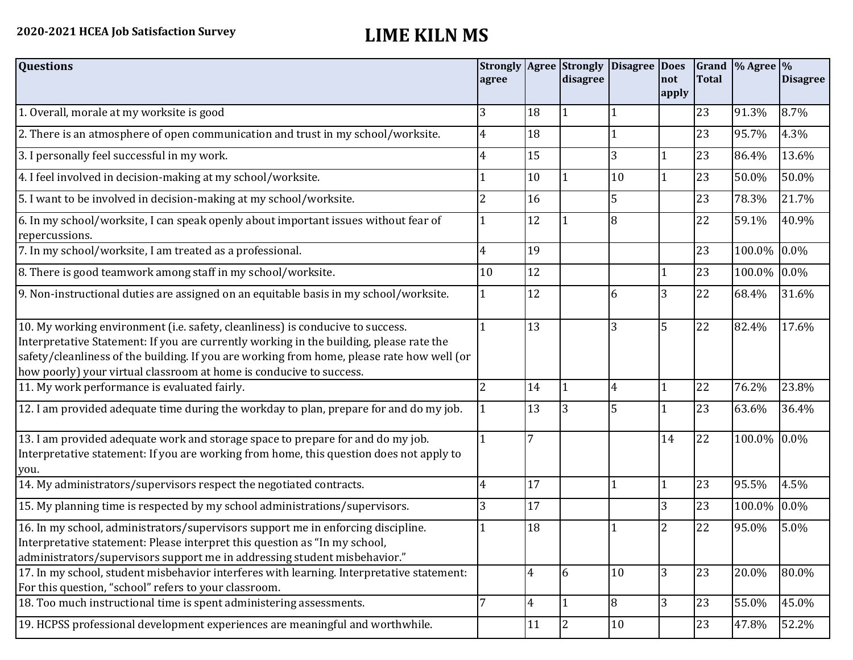| <b>Questions</b>                                                                                                                                                                                                                                                                                                                               | agree |                | <b>Strongly Agree Strongly</b><br>disagree | Disagree Does | not   | <b>Total</b> | Grand $\frac{9}{6}$ Agree $\frac{9}{6}$ | <b>Disagree</b> |
|------------------------------------------------------------------------------------------------------------------------------------------------------------------------------------------------------------------------------------------------------------------------------------------------------------------------------------------------|-------|----------------|--------------------------------------------|---------------|-------|--------------|-----------------------------------------|-----------------|
|                                                                                                                                                                                                                                                                                                                                                |       |                |                                            |               | apply |              |                                         |                 |
| 1. Overall, morale at my worksite is good                                                                                                                                                                                                                                                                                                      | 3     | 18             | 1                                          |               |       | 23           | 91.3%                                   | 8.7%            |
| 2. There is an atmosphere of open communication and trust in my school/worksite.                                                                                                                                                                                                                                                               | 4     | 18             |                                            |               |       | 23           | 95.7%                                   | 4.3%            |
| 3. I personally feel successful in my work.                                                                                                                                                                                                                                                                                                    |       | 15             |                                            | 3             |       | 23           | 86.4%                                   | 13.6%           |
| 4. I feel involved in decision-making at my school/worksite.                                                                                                                                                                                                                                                                                   |       | 10             |                                            | 10            | 1     | 23           | 50.0%                                   | 50.0%           |
| 5. I want to be involved in decision-making at my school/worksite.                                                                                                                                                                                                                                                                             | 2     | 16             |                                            | 5             |       | 23           | 78.3%                                   | 21.7%           |
| 6. In my school/worksite, I can speak openly about important issues without fear of<br>repercussions.                                                                                                                                                                                                                                          |       | 12             |                                            | 8             |       | 22           | 59.1%                                   | 40.9%           |
| 7. In my school/worksite, I am treated as a professional.                                                                                                                                                                                                                                                                                      | 4     | 19             |                                            |               |       | 23           | 100.0%                                  | 0.0%            |
| 8. There is good teamwork among staff in my school/worksite.                                                                                                                                                                                                                                                                                   | 10    | 12             |                                            |               |       | 23           | 100.0%                                  | $0.0\%$         |
| 9. Non-instructional duties are assigned on an equitable basis in my school/worksite.                                                                                                                                                                                                                                                          |       | 12             |                                            | 6             | 3     | 22           | 68.4%                                   | 31.6%           |
| 10. My working environment (i.e. safety, cleanliness) is conducive to success.<br>Interpretative Statement: If you are currently working in the building, please rate the<br>safety/cleanliness of the building. If you are working from home, please rate how well (or<br>how poorly) your virtual classroom at home is conducive to success. |       | 13             |                                            | 3             | 5     | 22           | 82.4%                                   | 17.6%           |
| 11. My work performance is evaluated fairly.                                                                                                                                                                                                                                                                                                   |       | 14             |                                            | 4             |       | 22           | 76.2%                                   | 23.8%           |
| 12. I am provided adequate time during the workday to plan, prepare for and do my job.                                                                                                                                                                                                                                                         |       | 13             | 3                                          | 5             |       | 23           | 63.6%                                   | 36.4%           |
| 13. I am provided adequate work and storage space to prepare for and do my job.<br>Interpretative statement: If you are working from home, this question does not apply to<br>you.                                                                                                                                                             |       |                |                                            |               | 14    | 22           | 100.0% 0.0%                             |                 |
| 14. My administrators/supervisors respect the negotiated contracts.                                                                                                                                                                                                                                                                            |       | 17             |                                            |               | 1     | 23           | 95.5%                                   | 4.5%            |
| 15. My planning time is respected by my school administrations/supervisors.                                                                                                                                                                                                                                                                    | 3     | 17             |                                            |               | 3     | 23           | 100.0%                                  | $0.0\%$         |
| 16. In my school, administrators/supervisors support me in enforcing discipline.<br>Interpretative statement: Please interpret this question as "In my school,<br>administrators/supervisors support me in addressing student misbehavior."                                                                                                    |       | 18             |                                            |               | 2     | 22           | 95.0%                                   | 5.0%            |
| 17. In my school, student misbehavior interferes with learning. Interpretative statement:<br>For this question, "school" refers to your classroom.                                                                                                                                                                                             |       | $\overline{4}$ | 6                                          | 10            | 3     | 23           | 20.0%                                   | 80.0%           |
| 18. Too much instructional time is spent administering assessments.                                                                                                                                                                                                                                                                            | 7     | $\overline{4}$ | $\overline{1}$                             | 8             | 3     | 23           | 55.0%                                   | 45.0%           |
| 19. HCPSS professional development experiences are meaningful and worthwhile.                                                                                                                                                                                                                                                                  |       | 11             | 2                                          | 10            |       | 23           | 47.8%                                   | 52.2%           |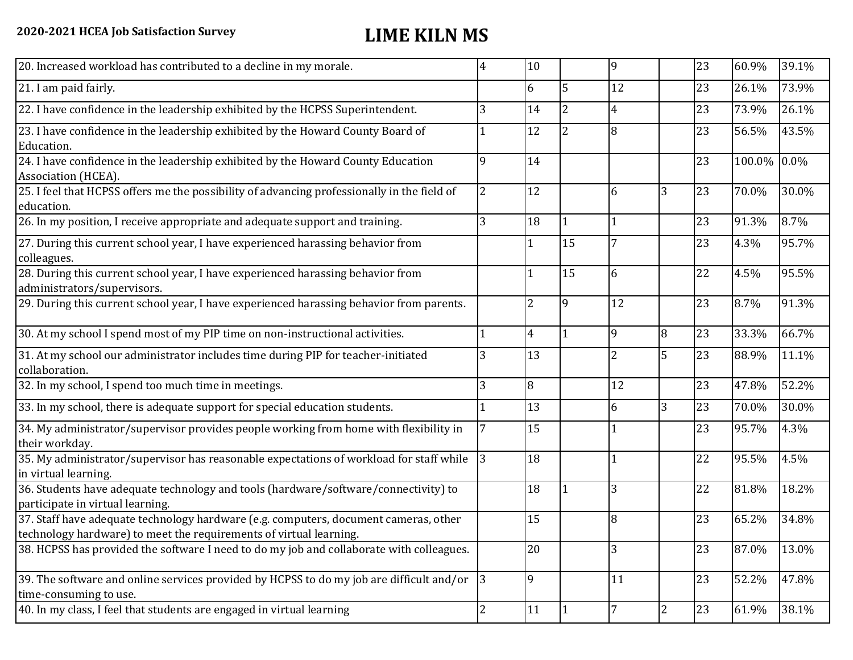| 20. Increased workload has contributed to a decline in my morale.                                                                                          | 4              | 10             |                | 9              |                | 23 | 60.9%  | 39.1% |
|------------------------------------------------------------------------------------------------------------------------------------------------------------|----------------|----------------|----------------|----------------|----------------|----|--------|-------|
| 21. I am paid fairly.                                                                                                                                      |                | 6              | 5              | 12             |                | 23 | 26.1%  | 73.9% |
| 22. I have confidence in the leadership exhibited by the HCPSS Superintendent.                                                                             | 3              | 14             | $\overline{2}$ | $\overline{4}$ |                | 23 | 73.9%  | 26.1% |
| 23. I have confidence in the leadership exhibited by the Howard County Board of<br>Education.                                                              |                | 12             | $\overline{2}$ | 8              |                | 23 | 56.5%  | 43.5% |
| 24. I have confidence in the leadership exhibited by the Howard County Education<br>Association (HCEA).                                                    | 9              | 14             |                |                |                | 23 | 100.0% | 0.0%  |
| 25. I feel that HCPSS offers me the possibility of advancing professionally in the field of<br>education.                                                  | $\overline{2}$ | 12             |                | 6              | 3              | 23 | 70.0%  | 30.0% |
| 26. In my position, I receive appropriate and adequate support and training.                                                                               | 3              | 18             | 1              |                |                | 23 | 91.3%  | 8.7%  |
| 27. During this current school year, I have experienced harassing behavior from<br>colleagues.                                                             |                | $\mathbf{1}$   | 15             |                |                | 23 | 4.3%   | 95.7% |
| 28. During this current school year, I have experienced harassing behavior from<br>administrators/supervisors.                                             |                |                | 15             | 6              |                | 22 | 4.5%   | 95.5% |
| 29. During this current school year, I have experienced harassing behavior from parents.                                                                   |                | $\overline{2}$ | 9              | 12             |                | 23 | 8.7%   | 91.3% |
| 30. At my school I spend most of my PIP time on non-instructional activities.                                                                              |                | $\overline{4}$ | $\mathbf{1}$   | 9              | $\overline{8}$ | 23 | 33.3%  | 66.7% |
| 31. At my school our administrator includes time during PIP for teacher-initiated<br>collaboration.                                                        | 3              | 13             |                | $\overline{2}$ | 5              | 23 | 88.9%  | 11.1% |
| 32. In my school, I spend too much time in meetings.                                                                                                       | 3              | 8              |                | 12             |                | 23 | 47.8%  | 52.2% |
| 33. In my school, there is adequate support for special education students.                                                                                |                | 13             |                | 6              | 3              | 23 | 70.0%  | 30.0% |
| 34. My administrator/supervisor provides people working from home with flexibility in<br>their workday.                                                    |                | 15             |                |                |                | 23 | 95.7%  | 4.3%  |
| 35. My administrator/supervisor has reasonable expectations of workload for staff while<br>in virtual learning.                                            | 3              | 18             |                |                |                | 22 | 95.5%  | 4.5%  |
| 36. Students have adequate technology and tools (hardware/software/connectivity) to<br>participate in virtual learning.                                    |                | 18             |                | 3              |                | 22 | 81.8%  | 18.2% |
| 37. Staff have adequate technology hardware (e.g. computers, document cameras, other<br>technology hardware) to meet the requirements of virtual learning. |                | 15             |                | 8              |                | 23 | 65.2%  | 34.8% |
| 38. HCPSS has provided the software I need to do my job and collaborate with colleagues.                                                                   |                | 20             |                | 3              |                | 23 | 87.0%  | 13.0% |
| 39. The software and online services provided by HCPSS to do my job are difficult and/or $ 3 $<br>time-consuming to use.                                   |                | 9              |                | 11             |                | 23 | 52.2%  | 47.8% |
| 40. In my class, I feel that students are engaged in virtual learning                                                                                      | 2              | 11             | 1              |                | $\overline{2}$ | 23 | 61.9%  | 38.1% |